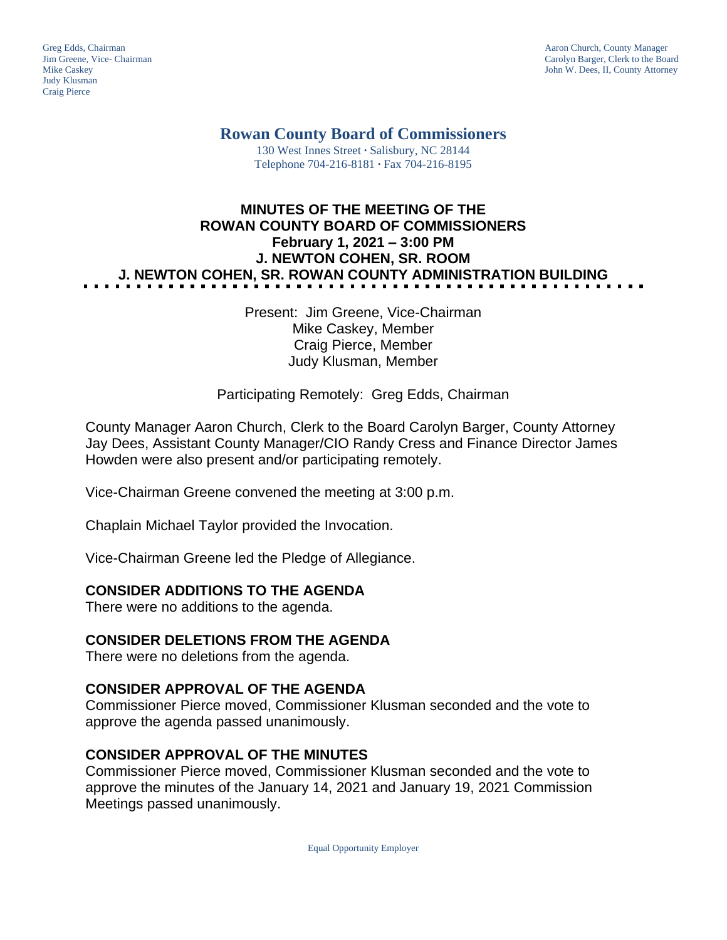Judy Klusman Craig Pierce

Greg Edds, Chairman Aaron Church, County Manager<br>
1989 - Garolyn Barger, Clerk to the Boa<br>
Carolyn Barger, Clerk to the Boa Jim Greene, Vice- Chairman Carolyn Barger, Clerk to the Board John W. Dees, II, County Attorney

**Rowan County Board of Commissioners**

130 West Innes Street **∙** Salisbury, NC 28144 Telephone 704-216-8181 **∙** Fax 704-216-8195

# **MINUTES OF THE MEETING OF THE ROWAN COUNTY BOARD OF COMMISSIONERS February 1, 2021 – 3:00 PM J. NEWTON COHEN, SR. ROOM J. NEWTON COHEN, SR. ROWAN COUNTY ADMINISTRATION BUILDING**

Present: Jim Greene, Vice-Chairman Mike Caskey, Member Craig Pierce, Member Judy Klusman, Member

Participating Remotely: Greg Edds, Chairman

County Manager Aaron Church, Clerk to the Board Carolyn Barger, County Attorney Jay Dees, Assistant County Manager/CIO Randy Cress and Finance Director James Howden were also present and/or participating remotely.

Vice-Chairman Greene convened the meeting at 3:00 p.m.

Chaplain Michael Taylor provided the Invocation.

Vice-Chairman Greene led the Pledge of Allegiance.

#### **CONSIDER ADDITIONS TO THE AGENDA**

There were no additions to the agenda.

#### **CONSIDER DELETIONS FROM THE AGENDA**

There were no deletions from the agenda.

#### **CONSIDER APPROVAL OF THE AGENDA**

Commissioner Pierce moved, Commissioner Klusman seconded and the vote to approve the agenda passed unanimously.

#### **CONSIDER APPROVAL OF THE MINUTES**

Commissioner Pierce moved, Commissioner Klusman seconded and the vote to approve the minutes of the January 14, 2021 and January 19, 2021 Commission Meetings passed unanimously.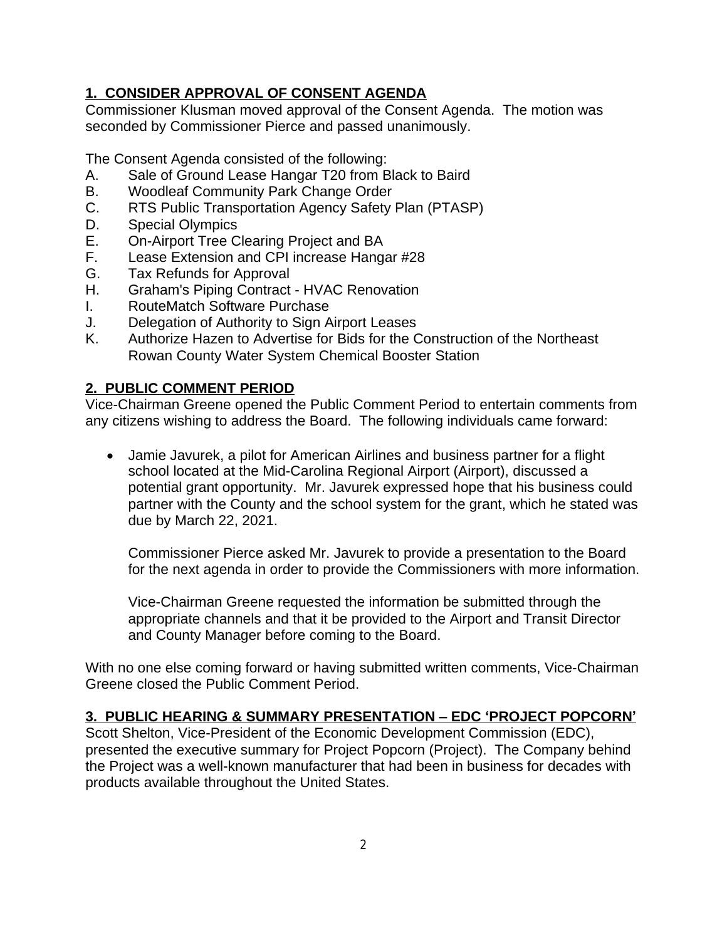# **1. CONSIDER APPROVAL OF CONSENT AGENDA**

Commissioner Klusman moved approval of the Consent Agenda. The motion was seconded by Commissioner Pierce and passed unanimously.

The Consent Agenda consisted of the following:

- A. Sale of Ground Lease Hangar T20 from Black to Baird
- B. Woodleaf Community Park Change Order
- C. RTS Public Transportation Agency Safety Plan (PTASP)
- D. Special Olympics
- E. On-Airport Tree Clearing Project and BA<br>E. Lease Extension and CPI increase Hange
- Lease Extension and CPI increase Hangar #28
- G. Tax Refunds for Approval
- H. Graham's Piping Contract HVAC Renovation
- I. RouteMatch Software Purchase
- J. Delegation of Authority to Sign Airport Leases
- K. Authorize Hazen to Advertise for Bids for the Construction of the Northeast Rowan County Water System Chemical Booster Station

### **2. PUBLIC COMMENT PERIOD**

Vice-Chairman Greene opened the Public Comment Period to entertain comments from any citizens wishing to address the Board. The following individuals came forward:

 Jamie Javurek, a pilot for American Airlines and business partner for a flight school located at the Mid-Carolina Regional Airport (Airport), discussed a potential grant opportunity. Mr. Javurek expressed hope that his business could partner with the County and the school system for the grant, which he stated was due by March 22, 2021.

Commissioner Pierce asked Mr. Javurek to provide a presentation to the Board for the next agenda in order to provide the Commissioners with more information.

Vice-Chairman Greene requested the information be submitted through the appropriate channels and that it be provided to the Airport and Transit Director and County Manager before coming to the Board.

With no one else coming forward or having submitted written comments, Vice-Chairman Greene closed the Public Comment Period.

### **3. PUBLIC HEARING & SUMMARY PRESENTATION – EDC 'PROJECT POPCORN'**

Scott Shelton, Vice-President of the Economic Development Commission (EDC), presented the executive summary for Project Popcorn (Project). The Company behind the Project was a well-known manufacturer that had been in business for decades with products available throughout the United States.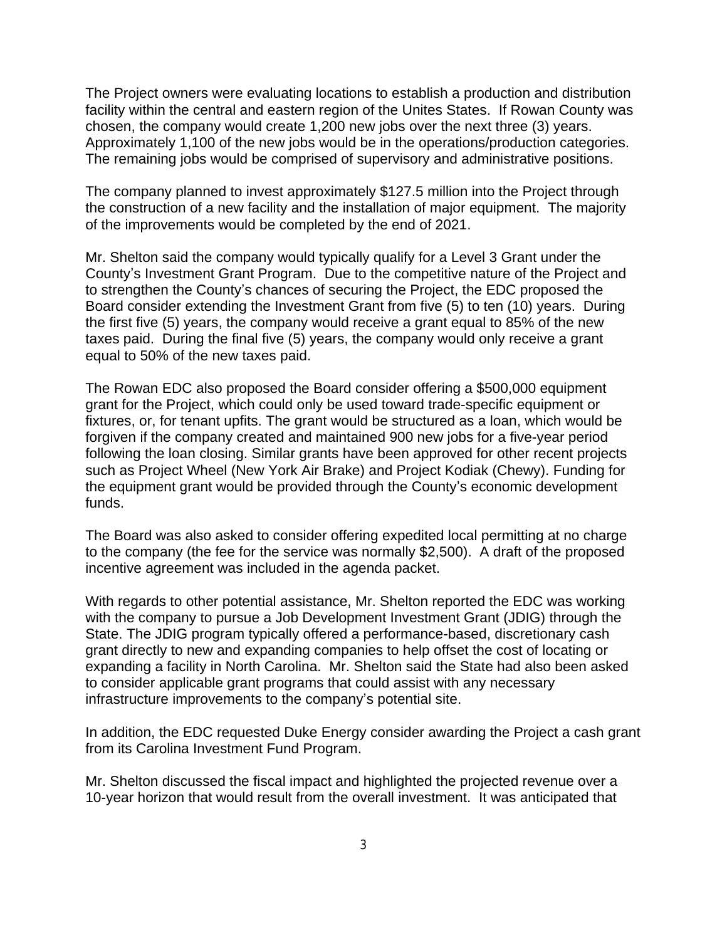The Project owners were evaluating locations to establish a production and distribution facility within the central and eastern region of the Unites States. If Rowan County was chosen, the company would create 1,200 new jobs over the next three (3) years. Approximately 1,100 of the new jobs would be in the operations/production categories. The remaining jobs would be comprised of supervisory and administrative positions.

The company planned to invest approximately \$127.5 million into the Project through the construction of a new facility and the installation of major equipment. The majority of the improvements would be completed by the end of 2021.

Mr. Shelton said the company would typically qualify for a Level 3 Grant under the County's Investment Grant Program. Due to the competitive nature of the Project and to strengthen the County's chances of securing the Project, the EDC proposed the Board consider extending the Investment Grant from five (5) to ten (10) years. During the first five (5) years, the company would receive a grant equal to 85% of the new taxes paid. During the final five (5) years, the company would only receive a grant equal to 50% of the new taxes paid.

The Rowan EDC also proposed the Board consider offering a \$500,000 equipment grant for the Project, which could only be used toward trade-specific equipment or fixtures, or, for tenant upfits. The grant would be structured as a loan, which would be forgiven if the company created and maintained 900 new jobs for a five-year period following the loan closing. Similar grants have been approved for other recent projects such as Project Wheel (New York Air Brake) and Project Kodiak (Chewy). Funding for the equipment grant would be provided through the County's economic development funds.

The Board was also asked to consider offering expedited local permitting at no charge to the company (the fee for the service was normally \$2,500). A draft of the proposed incentive agreement was included in the agenda packet.

With regards to other potential assistance, Mr. Shelton reported the EDC was working with the company to pursue a Job Development Investment Grant (JDIG) through the State. The JDIG program typically offered a performance-based, discretionary cash grant directly to new and expanding companies to help offset the cost of locating or expanding a facility in North Carolina. Mr. Shelton said the State had also been asked to consider applicable grant programs that could assist with any necessary infrastructure improvements to the company's potential site.

In addition, the EDC requested Duke Energy consider awarding the Project a cash grant from its Carolina Investment Fund Program.

Mr. Shelton discussed the fiscal impact and highlighted the projected revenue over a 10-year horizon that would result from the overall investment. It was anticipated that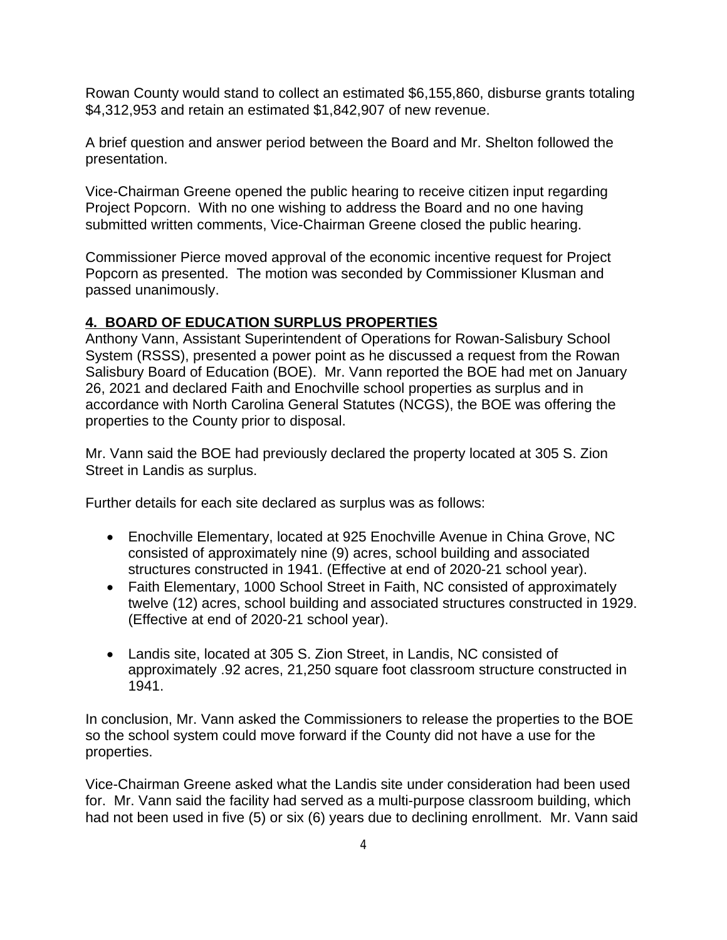Rowan County would stand to collect an estimated \$6,155,860, disburse grants totaling \$4,312,953 and retain an estimated \$1,842,907 of new revenue.

A brief question and answer period between the Board and Mr. Shelton followed the presentation.

Vice-Chairman Greene opened the public hearing to receive citizen input regarding Project Popcorn. With no one wishing to address the Board and no one having submitted written comments, Vice-Chairman Greene closed the public hearing.

Commissioner Pierce moved approval of the economic incentive request for Project Popcorn as presented. The motion was seconded by Commissioner Klusman and passed unanimously.

### **4. BOARD OF EDUCATION SURPLUS PROPERTIES**

Anthony Vann, Assistant Superintendent of Operations for Rowan-Salisbury School System (RSSS), presented a power point as he discussed a request from the Rowan Salisbury Board of Education (BOE). Mr. Vann reported the BOE had met on January 26, 2021 and declared Faith and Enochville school properties as surplus and in accordance with North Carolina General Statutes (NCGS), the BOE was offering the properties to the County prior to disposal.

Mr. Vann said the BOE had previously declared the property located at 305 S. Zion Street in Landis as surplus.

Further details for each site declared as surplus was as follows:

- Enochville Elementary, located at 925 Enochville Avenue in China Grove, NC consisted of approximately nine (9) acres, school building and associated structures constructed in 1941. (Effective at end of 2020-21 school year).
- Faith Elementary, 1000 School Street in Faith, NC consisted of approximately twelve (12) acres, school building and associated structures constructed in 1929. (Effective at end of 2020-21 school year).
- Landis site, located at 305 S. Zion Street, in Landis, NC consisted of approximately .92 acres, 21,250 square foot classroom structure constructed in 1941.

In conclusion, Mr. Vann asked the Commissioners to release the properties to the BOE so the school system could move forward if the County did not have a use for the properties.

Vice-Chairman Greene asked what the Landis site under consideration had been used for. Mr. Vann said the facility had served as a multi-purpose classroom building, which had not been used in five (5) or six (6) years due to declining enrollment. Mr. Vann said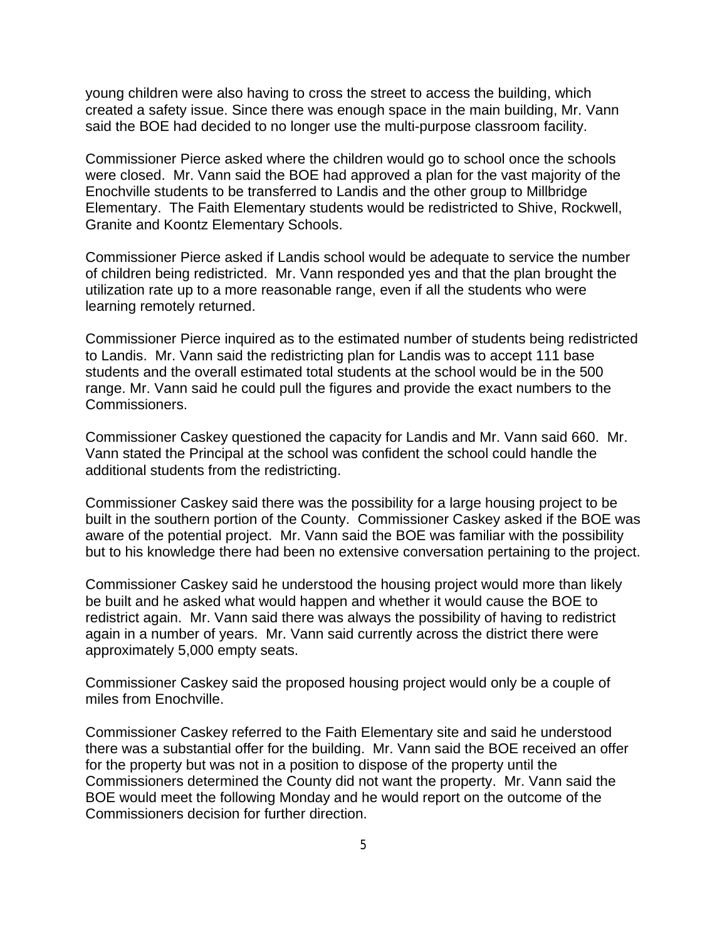young children were also having to cross the street to access the building, which created a safety issue. Since there was enough space in the main building, Mr. Vann said the BOE had decided to no longer use the multi-purpose classroom facility.

Commissioner Pierce asked where the children would go to school once the schools were closed. Mr. Vann said the BOE had approved a plan for the vast majority of the Enochville students to be transferred to Landis and the other group to Millbridge Elementary. The Faith Elementary students would be redistricted to Shive, Rockwell, Granite and Koontz Elementary Schools.

Commissioner Pierce asked if Landis school would be adequate to service the number of children being redistricted. Mr. Vann responded yes and that the plan brought the utilization rate up to a more reasonable range, even if all the students who were learning remotely returned.

Commissioner Pierce inquired as to the estimated number of students being redistricted to Landis. Mr. Vann said the redistricting plan for Landis was to accept 111 base students and the overall estimated total students at the school would be in the 500 range. Mr. Vann said he could pull the figures and provide the exact numbers to the Commissioners.

Commissioner Caskey questioned the capacity for Landis and Mr. Vann said 660. Mr. Vann stated the Principal at the school was confident the school could handle the additional students from the redistricting.

Commissioner Caskey said there was the possibility for a large housing project to be built in the southern portion of the County. Commissioner Caskey asked if the BOE was aware of the potential project. Mr. Vann said the BOE was familiar with the possibility but to his knowledge there had been no extensive conversation pertaining to the project.

Commissioner Caskey said he understood the housing project would more than likely be built and he asked what would happen and whether it would cause the BOE to redistrict again. Mr. Vann said there was always the possibility of having to redistrict again in a number of years. Mr. Vann said currently across the district there were approximately 5,000 empty seats.

Commissioner Caskey said the proposed housing project would only be a couple of miles from Enochville.

Commissioner Caskey referred to the Faith Elementary site and said he understood there was a substantial offer for the building. Mr. Vann said the BOE received an offer for the property but was not in a position to dispose of the property until the Commissioners determined the County did not want the property. Mr. Vann said the BOE would meet the following Monday and he would report on the outcome of the Commissioners decision for further direction.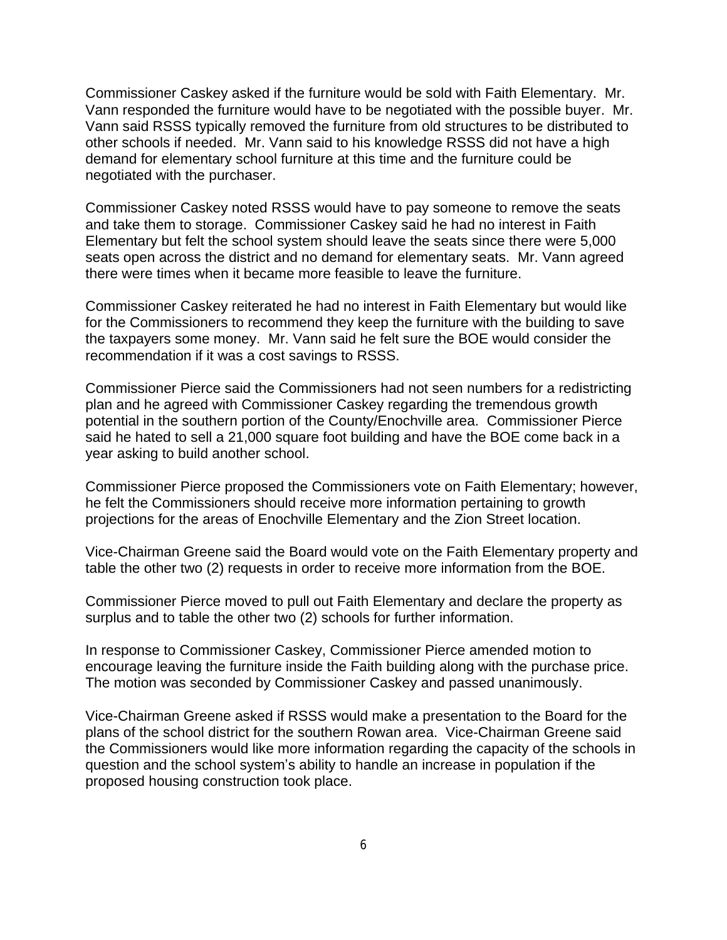Commissioner Caskey asked if the furniture would be sold with Faith Elementary. Mr. Vann responded the furniture would have to be negotiated with the possible buyer. Mr. Vann said RSSS typically removed the furniture from old structures to be distributed to other schools if needed. Mr. Vann said to his knowledge RSSS did not have a high demand for elementary school furniture at this time and the furniture could be negotiated with the purchaser.

Commissioner Caskey noted RSSS would have to pay someone to remove the seats and take them to storage. Commissioner Caskey said he had no interest in Faith Elementary but felt the school system should leave the seats since there were 5,000 seats open across the district and no demand for elementary seats. Mr. Vann agreed there were times when it became more feasible to leave the furniture.

Commissioner Caskey reiterated he had no interest in Faith Elementary but would like for the Commissioners to recommend they keep the furniture with the building to save the taxpayers some money. Mr. Vann said he felt sure the BOE would consider the recommendation if it was a cost savings to RSSS.

Commissioner Pierce said the Commissioners had not seen numbers for a redistricting plan and he agreed with Commissioner Caskey regarding the tremendous growth potential in the southern portion of the County/Enochville area. Commissioner Pierce said he hated to sell a 21,000 square foot building and have the BOE come back in a year asking to build another school.

Commissioner Pierce proposed the Commissioners vote on Faith Elementary; however, he felt the Commissioners should receive more information pertaining to growth projections for the areas of Enochville Elementary and the Zion Street location.

Vice-Chairman Greene said the Board would vote on the Faith Elementary property and table the other two (2) requests in order to receive more information from the BOE.

Commissioner Pierce moved to pull out Faith Elementary and declare the property as surplus and to table the other two (2) schools for further information.

In response to Commissioner Caskey, Commissioner Pierce amended motion to encourage leaving the furniture inside the Faith building along with the purchase price. The motion was seconded by Commissioner Caskey and passed unanimously.

Vice-Chairman Greene asked if RSSS would make a presentation to the Board for the plans of the school district for the southern Rowan area. Vice-Chairman Greene said the Commissioners would like more information regarding the capacity of the schools in question and the school system's ability to handle an increase in population if the proposed housing construction took place.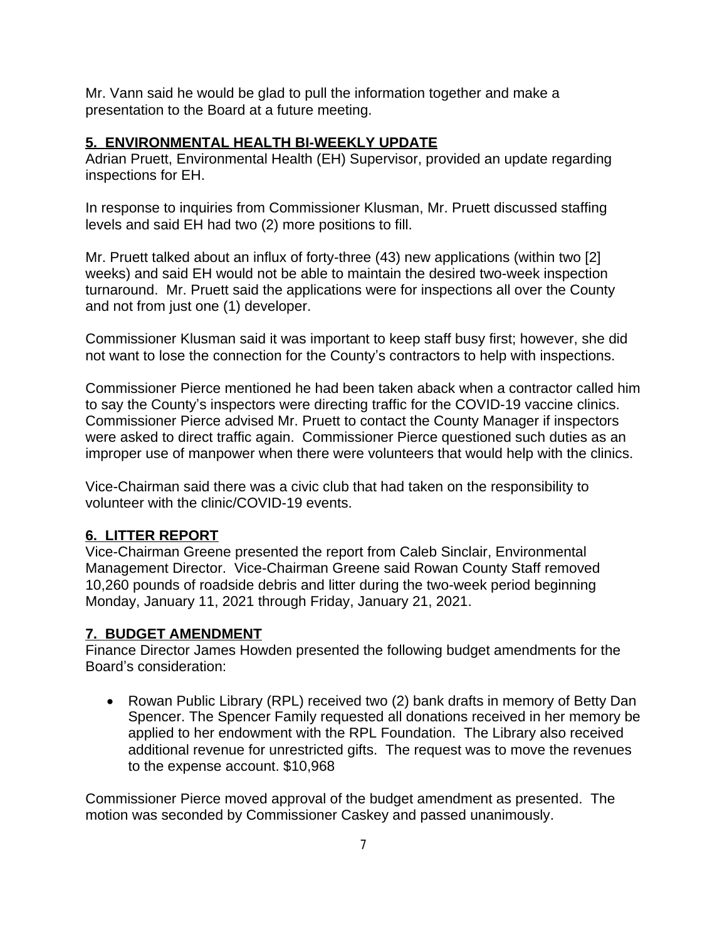Mr. Vann said he would be glad to pull the information together and make a presentation to the Board at a future meeting.

#### **5. ENVIRONMENTAL HEALTH BI-WEEKLY UPDATE**

Adrian Pruett, Environmental Health (EH) Supervisor, provided an update regarding inspections for EH.

In response to inquiries from Commissioner Klusman, Mr. Pruett discussed staffing levels and said EH had two (2) more positions to fill.

Mr. Pruett talked about an influx of forty-three (43) new applications (within two [2] weeks) and said EH would not be able to maintain the desired two-week inspection turnaround. Mr. Pruett said the applications were for inspections all over the County and not from just one (1) developer.

Commissioner Klusman said it was important to keep staff busy first; however, she did not want to lose the connection for the County's contractors to help with inspections.

Commissioner Pierce mentioned he had been taken aback when a contractor called him to say the County's inspectors were directing traffic for the COVID-19 vaccine clinics. Commissioner Pierce advised Mr. Pruett to contact the County Manager if inspectors were asked to direct traffic again. Commissioner Pierce questioned such duties as an improper use of manpower when there were volunteers that would help with the clinics.

Vice-Chairman said there was a civic club that had taken on the responsibility to volunteer with the clinic/COVID-19 events.

### **6. LITTER REPORT**

Vice-Chairman Greene presented the report from Caleb Sinclair, Environmental Management Director. Vice-Chairman Greene said Rowan County Staff removed 10,260 pounds of roadside debris and litter during the two-week period beginning Monday, January 11, 2021 through Friday, January 21, 2021.

### **7. BUDGET AMENDMENT**

Finance Director James Howden presented the following budget amendments for the Board's consideration:

• Rowan Public Library (RPL) received two (2) bank drafts in memory of Betty Dan Spencer. The Spencer Family requested all donations received in her memory be applied to her endowment with the RPL Foundation. The Library also received additional revenue for unrestricted gifts. The request was to move the revenues to the expense account. \$10,968

Commissioner Pierce moved approval of the budget amendment as presented. The motion was seconded by Commissioner Caskey and passed unanimously.